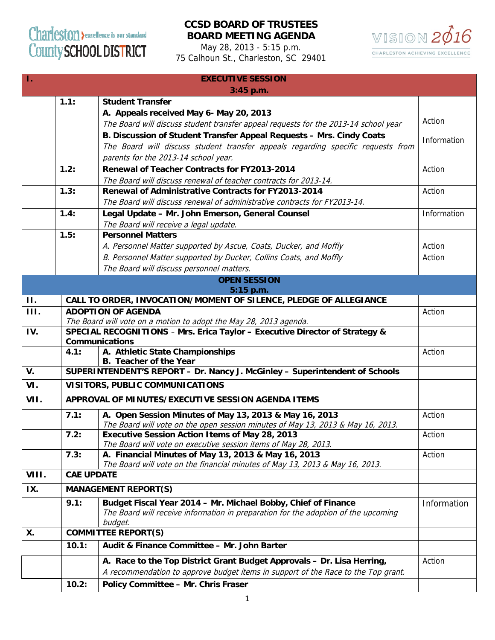## Charleston > excellence is our standard County SCHOOL DISTRICT

## **CCSD BOARD OF TRUSTEES BOARD MEETING AGENDA**

May 28, 2013 - 5:15 p.m. 75 Calhoun St., Charleston, SC 29401



| 4.<br><b>EXECUTIVE SESSION</b> |                                     |                                                                                     |             |  |
|--------------------------------|-------------------------------------|-------------------------------------------------------------------------------------|-------------|--|
| $3:45$ p.m.                    |                                     |                                                                                     |             |  |
|                                | 1.1:                                | <b>Student Transfer</b>                                                             |             |  |
|                                |                                     | A. Appeals received May 6- May 20, 2013                                             |             |  |
|                                |                                     | The Board will discuss student transfer appeal requests for the 2013-14 school year | Action      |  |
|                                |                                     | B. Discussion of Student Transfer Appeal Requests - Mrs. Cindy Coats                |             |  |
|                                |                                     | The Board will discuss student transfer appeals regarding specific requests from    | Information |  |
|                                |                                     | parents for the 2013-14 school year.                                                |             |  |
|                                | 1.2:                                | Renewal of Teacher Contracts for FY2013-2014                                        | Action      |  |
|                                |                                     | The Board will discuss renewal of teacher contracts for 2013-14.                    |             |  |
|                                | 1.3:                                | Renewal of Administrative Contracts for FY2013-2014                                 | Action      |  |
|                                |                                     | The Board will discuss renewal of administrative contracts for FY2013-14.           |             |  |
|                                |                                     |                                                                                     |             |  |
|                                | 1.4:                                | Legal Update - Mr. John Emerson, General Counsel                                    | Information |  |
|                                |                                     | The Board will receive a legal update.                                              |             |  |
|                                | 1.5:                                | <b>Personnel Matters</b>                                                            |             |  |
|                                |                                     | A. Personnel Matter supported by Ascue, Coats, Ducker, and Moffly                   | Action      |  |
|                                |                                     | B. Personnel Matter supported by Ducker, Collins Coats, and Moffly                  | Action      |  |
|                                |                                     | The Board will discuss personnel matters.                                           |             |  |
| <b>OPEN SESSION</b>            |                                     |                                                                                     |             |  |
|                                |                                     | 5:15 p.m.                                                                           |             |  |
| $\Pi$ .                        |                                     | CALL TO ORDER, INVOCATION/MOMENT OF SILENCE, PLEDGE OF ALLEGIANCE                   |             |  |
| <b>III.</b>                    | <b>ADOPTION OF AGENDA</b><br>Action |                                                                                     |             |  |
|                                |                                     | The Board will vote on a motion to adopt the May 28, 2013 agenda.                   |             |  |
| IV.                            |                                     | SPECIAL RECOGNITIONS - Mrs. Erica Taylor - Executive Director of Strategy &         |             |  |
|                                |                                     | <b>Communications</b>                                                               |             |  |
|                                | 4.1:                                | A. Athletic State Championships<br><b>B.</b> Teacher of the Year                    | Action      |  |
| V.                             |                                     | SUPERINTENDENT'S REPORT - Dr. Nancy J. McGinley - Superintendent of Schools         |             |  |
|                                |                                     |                                                                                     |             |  |
| VI.                            |                                     | VISITORS, PUBLIC COMMUNICATIONS                                                     |             |  |
| VII.                           |                                     | APPROVAL OF MINUTES/EXECUTIVE SESSION AGENDA ITEMS                                  |             |  |
|                                | 7.1:                                | A. Open Session Minutes of May 13, 2013 & May 16, 2013                              | Action      |  |
|                                |                                     | The Board will vote on the open session minutes of May 13, 2013 & May 16, 2013.     |             |  |
|                                | 7.2:                                | <b>Executive Session Action Items of May 28, 2013</b>                               | Action      |  |
|                                |                                     | The Board will vote on executive session items of May 28, 2013.                     |             |  |
|                                | 7.3:                                | A. Financial Minutes of May 13, 2013 & May 16, 2013                                 | Action      |  |
|                                |                                     | The Board will vote on the financial minutes of May 13, 2013 & May 16, 2013.        |             |  |
| VIII.                          |                                     | <b>CAE UPDATE</b>                                                                   |             |  |
| IX.                            |                                     | <b>MANAGEMENT REPORT(S)</b>                                                         |             |  |
|                                | 9.1:                                | Budget Fiscal Year 2014 - Mr. Michael Bobby, Chief of Finance                       | Information |  |
|                                |                                     | The Board will receive information in preparation for the adoption of the upcoming  |             |  |
| <b>X.</b>                      |                                     | budget.<br><b>COMMITTEE REPORT(S)</b>                                               |             |  |
|                                | 10.1:                               | Audit & Finance Committee - Mr. John Barter                                         |             |  |
|                                |                                     | A. Race to the Top District Grant Budget Approvals - Dr. Lisa Herring,              | Action      |  |
|                                |                                     | A recommendation to approve budget items in support of the Race to the Top grant.   |             |  |
|                                |                                     |                                                                                     |             |  |
|                                | 10.2:                               | Policy Committee - Mr. Chris Fraser                                                 |             |  |